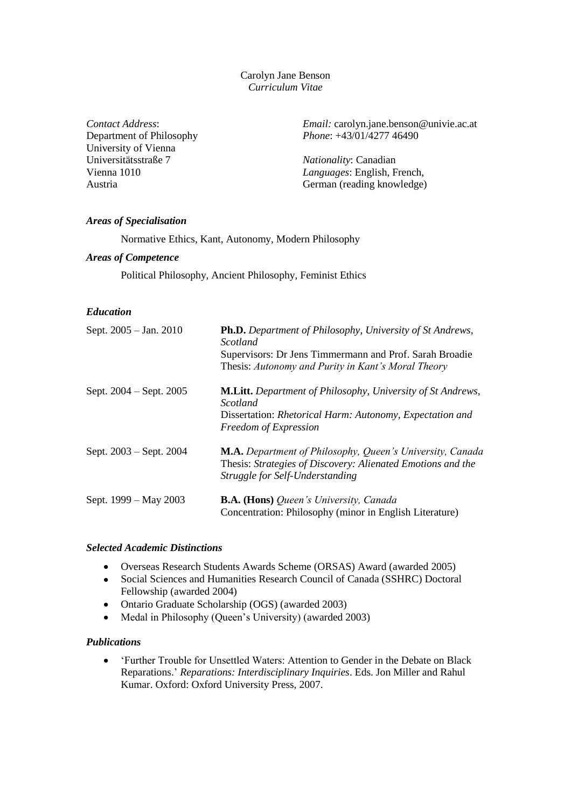Carolyn Jane Benson *Curriculum Vitae*

*Contact Address*: Department of Philosophy University of Vienna Universitätsstraße 7 Vienna 1010 Austria

*Email:* carolyn.jane.benson@univie.ac.at *Phone*: +43/01/4277 46490

*Nationality*: Canadian *Languages*: English, French, German (reading knowledge)

### *Areas of Specialisation*

Normative Ethics, Kant, Autonomy, Modern Philosophy

#### *Areas of Competence*

Political Philosophy, Ancient Philosophy, Feminist Ethics

## *Education*

| Sept. 2005 – Jan. 2010  | Ph.D. Department of Philosophy, University of St Andrews,<br>Scotland                                                                                       |
|-------------------------|-------------------------------------------------------------------------------------------------------------------------------------------------------------|
|                         | Supervisors: Dr Jens Timmermann and Prof. Sarah Broadie<br>Thesis: Autonomy and Purity in Kant's Moral Theory                                               |
| Sept. 2004 – Sept. 2005 | <b>M.Litt.</b> Department of Philosophy, University of St Andrews,<br>Scotland                                                                              |
|                         | Dissertation: Rhetorical Harm: Autonomy, Expectation and<br>Freedom of Expression                                                                           |
| Sept. 2003 – Sept. 2004 | M.A. Department of Philosophy, Queen's University, Canada<br>Thesis: Strategies of Discovery: Alienated Emotions and the<br>Struggle for Self-Understanding |
| Sept. 1999 – May 2003   | <b>B.A. (Hons)</b> Queen's University, Canada<br>Concentration: Philosophy (minor in English Literature)                                                    |

### *Selected Academic Distinctions*

- Overseas Research Students Awards Scheme (ORSAS) Award (awarded 2005)  $\bullet$
- Social Sciences and Humanities Research Council of Canada (SSHRC) Doctoral  $\bullet$ Fellowship (awarded 2004)
- Ontario Graduate Scholarship (OGS) (awarded 2003)  $\bullet$
- Medal in Philosophy (Queen's University) (awarded 2003)  $\bullet$

### *Publications*

'Further Trouble for Unsettled Waters: Attention to Gender in the Debate on Black  $\bullet$ Reparations.' *Reparations: Interdisciplinary Inquiries*. Eds. Jon Miller and Rahul Kumar. Oxford: Oxford University Press, 2007.